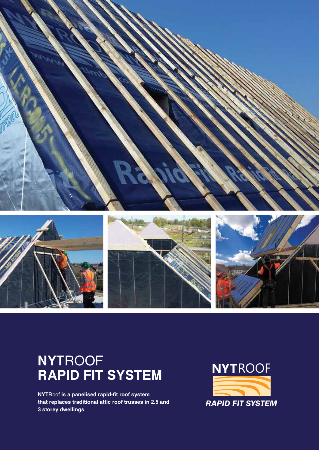

### **NYT**ROOF **RAPID FIT SYSTEM**

**NYT**Roof **is a panelised rapid-fit roof system that replaces traditional attic roof trusses in 2.5 and 3 storey dwellings**

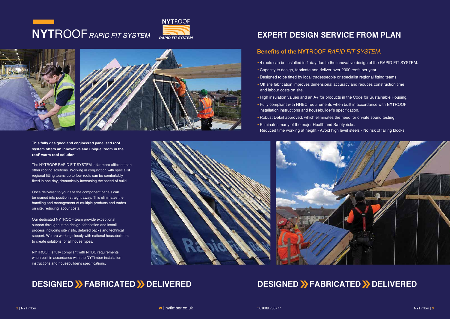**This fully designed and engineered panelised roof system offers an innovative and unique 'room in the roof' warm roof solution.**

The NYTROOF RAPID FIT SYSTEM is far more efficient than other roofing solutions. Working in conjunction with specialist regional fitting teams up to four roofs can be comfortably fitted in one day, dramatically increasing the speed of build.

Once delivered to your site the component panels can be craned into position straight away. This eliminates the handling and management of multiple products and trades on site, reducing labour costs.

Our dedicated NYTROOF team provide exceptional support throughout the design, fabrication and install process including site visits, detailed packs and technical support. We are working closely with national housebuilders to create solutions for all house types.

NYTROOF is fully compliant with NHBC requirements when built in accordance with the NYTimber installation instructions and housebuilder's specifications.

# **NYT**ROOF RAPID FIT SYSTEM

#### **EXPERT DESIGN SERVICE FROM PLAN**

- 4 roofs can be installed in 1 day due to the innovative design of the RAPID FIT SYSTEM.
- Capacity to design, fabricate and deliver over 2000 roofs per year.
- Designed to be fitted by local tradespeople or specialist regional fitting teams.
- Off site fabrication improves dimensional accuracy and reduces construction time and labour costs on site.
- High insulation values and an A+ for products in the Code for Sustainable Housing. installation instructions and housebuilder's specification.
- Fully compliant with NHBC requirements when built in accordance with **NYT**ROOF
- Robust Detail approved, which eliminates the need for on-site sound testing.
- Eliminates many of the major Health and Safety risks. Reduced time working at height - Avoid high level steels - No risk of falling blocks



#### **DESIGNED >>FABRICATED >>DELIVERED**

#### **DESIGNED >> FABRICATED >> DELIVERED**

#### **Benefits of the NYT**ROOF RAPID FIT SYSTEM: